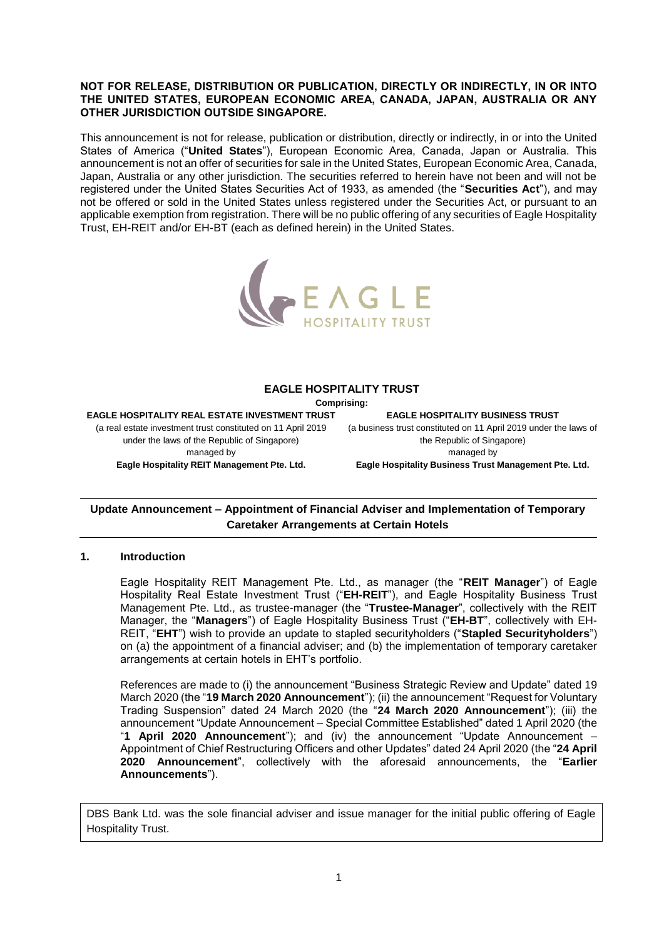#### **NOT FOR RELEASE, DISTRIBUTION OR PUBLICATION, DIRECTLY OR INDIRECTLY, IN OR INTO THE UNITED STATES, EUROPEAN ECONOMIC AREA, CANADA, JAPAN, AUSTRALIA OR ANY OTHER JURISDICTION OUTSIDE SINGAPORE.**

This announcement is not for release, publication or distribution, directly or indirectly, in or into the United States of America ("**United States**"), European Economic Area, Canada, Japan or Australia. This announcement is not an offer of securities for sale in the United States, European Economic Area, Canada, Japan, Australia or any other jurisdiction. The securities referred to herein have not been and will not be registered under the United States Securities Act of 1933, as amended (the "**Securities Act**"), and may not be offered or sold in the United States unless registered under the Securities Act, or pursuant to an applicable exemption from registration. There will be no public offering of any securities of Eagle Hospitality Trust, EH-REIT and/or EH-BT (each as defined herein) in the United States.



#### **EAGLE HOSPITALITY TRUST**

**Comprising:**

**EAGLE HOSPITALITY REAL ESTATE INVESTMENT TRUST** (a real estate investment trust constituted on 11 April 2019 under the laws of the Republic of Singapore) managed by **Eagle Hospitality REIT Management Pte. Ltd.**

**EAGLE HOSPITALITY BUSINESS TRUST** (a business trust constituted on 11 April 2019 under the laws of the Republic of Singapore) managed by **Eagle Hospitality Business Trust Management Pte. Ltd.**

# **Update Announcement – Appointment of Financial Adviser and Implementation of Temporary Caretaker Arrangements at Certain Hotels**

## **1. Introduction**

Eagle Hospitality REIT Management Pte. Ltd., as manager (the "**REIT Manager**") of Eagle Hospitality Real Estate Investment Trust ("**EH-REIT**"), and Eagle Hospitality Business Trust Management Pte. Ltd., as trustee-manager (the "**Trustee-Manager**", collectively with the REIT Manager, the "**Managers**") of Eagle Hospitality Business Trust ("**EH-BT**", collectively with EH-REIT, "**EHT**") wish to provide an update to stapled securityholders ("**Stapled Securityholders**") on (a) the appointment of a financial adviser; and (b) the implementation of temporary caretaker arrangements at certain hotels in EHT's portfolio.

References are made to (i) the announcement "Business Strategic Review and Update" dated 19 March 2020 (the "**19 March 2020 Announcement**"); (ii) the announcement "Request for Voluntary Trading Suspension" dated 24 March 2020 (the "**24 March 2020 Announcement**"); (iii) the announcement "Update Announcement – Special Committee Established" dated 1 April 2020 (the "**1 April 2020 Announcement**"); and (iv) the announcement "Update Announcement – Appointment of Chief Restructuring Officers and other Updates" dated 24 April 2020 (the "**24 April 2020 Announcement**", collectively with the aforesaid announcements, the "**Earlier Announcements**").

DBS Bank Ltd. was the sole financial adviser and issue manager for the initial public offering of Eagle Hospitality Trust.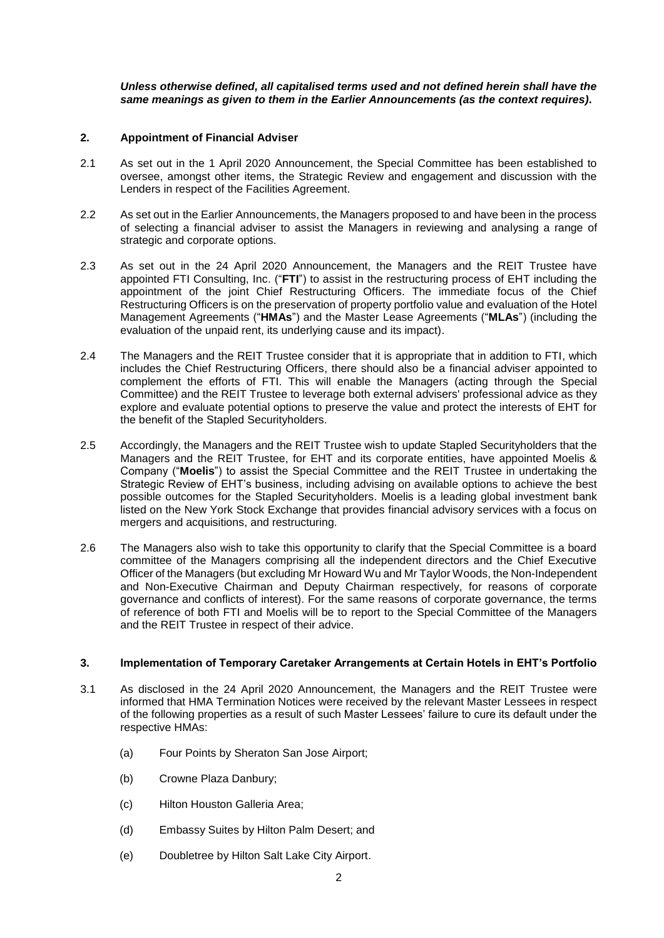### *Unless otherwise defined, all capitalised terms used and not defined herein shall have the same meanings as given to them in the Earlier Announcements (as the context requires)***.**

### **2. Appointment of Financial Adviser**

- 2.1 As set out in the 1 April 2020 Announcement, the Special Committee has been established to oversee, amongst other items, the Strategic Review and engagement and discussion with the Lenders in respect of the Facilities Agreement.
- 2.2 As set out in the Earlier Announcements, the Managers proposed to and have been in the process of selecting a financial adviser to assist the Managers in reviewing and analysing a range of strategic and corporate options.
- 2.3 As set out in the 24 April 2020 Announcement, the Managers and the REIT Trustee have appointed FTI Consulting, Inc. ("**FTI**") to assist in the restructuring process of EHT including the appointment of the joint Chief Restructuring Officers. The immediate focus of the Chief Restructuring Officers is on the preservation of property portfolio value and evaluation of the Hotel Management Agreements ("**HMAs**") and the Master Lease Agreements ("**MLAs**") (including the evaluation of the unpaid rent, its underlying cause and its impact).
- 2.4 The Managers and the REIT Trustee consider that it is appropriate that in addition to FTI, which includes the Chief Restructuring Officers, there should also be a financial adviser appointed to complement the efforts of FTI. This will enable the Managers (acting through the Special Committee) and the REIT Trustee to leverage both external advisers' professional advice as they explore and evaluate potential options to preserve the value and protect the interests of EHT for the benefit of the Stapled Securityholders.
- 2.5 Accordingly, the Managers and the REIT Trustee wish to update Stapled Securityholders that the Managers and the REIT Trustee, for EHT and its corporate entities, have appointed Moelis & Company ("**Moelis**") to assist the Special Committee and the REIT Trustee in undertaking the Strategic Review of EHT's business, including advising on available options to achieve the best possible outcomes for the Stapled Securityholders. Moelis is a leading global investment bank listed on the New York Stock Exchange that provides financial advisory services with a focus on mergers and acquisitions, and restructuring.
- 2.6 The Managers also wish to take this opportunity to clarify that the Special Committee is a board committee of the Managers comprising all the independent directors and the Chief Executive Officer of the Managers (but excluding Mr Howard Wu and Mr Taylor Woods, the Non-Independent and Non-Executive Chairman and Deputy Chairman respectively, for reasons of corporate governance and conflicts of interest). For the same reasons of corporate governance, the terms of reference of both FTI and Moelis will be to report to the Special Committee of the Managers and the REIT Trustee in respect of their advice.

#### **3. Implementation of Temporary Caretaker Arrangements at Certain Hotels in EHT's Portfolio**

- 3.1 As disclosed in the 24 April 2020 Announcement, the Managers and the REIT Trustee were informed that HMA Termination Notices were received by the relevant Master Lessees in respect of the following properties as a result of such Master Lessees' failure to cure its default under the respective HMAs:
	- (a) Four Points by Sheraton San Jose Airport;
	- (b) Crowne Plaza Danbury;
	- (c) Hilton Houston Galleria Area;
	- (d) Embassy Suites by Hilton Palm Desert; and
	- (e) Doubletree by Hilton Salt Lake City Airport.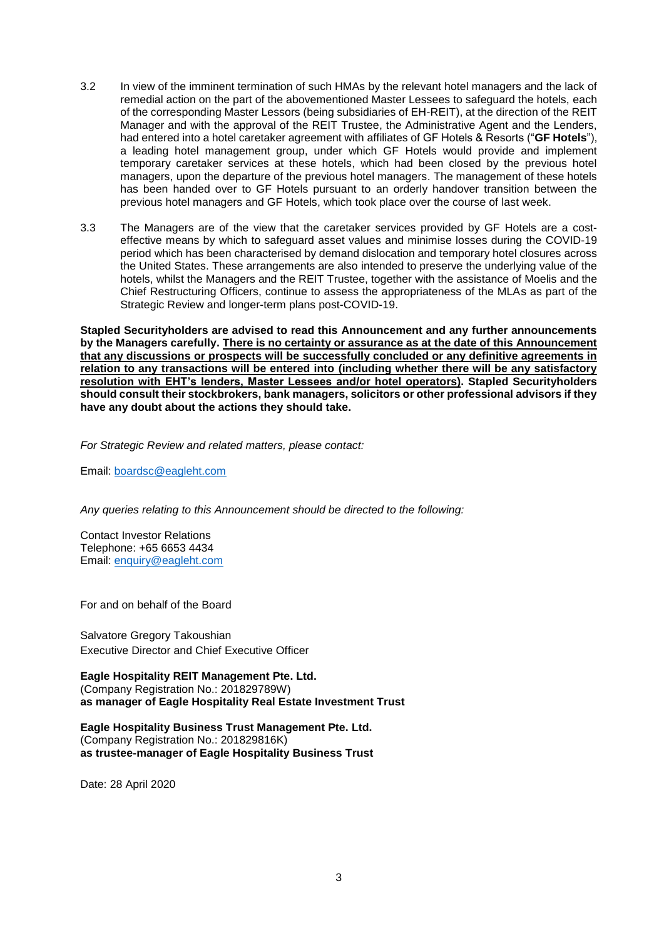- 3.2 In view of the imminent termination of such HMAs by the relevant hotel managers and the lack of remedial action on the part of the abovementioned Master Lessees to safeguard the hotels, each of the corresponding Master Lessors (being subsidiaries of EH-REIT), at the direction of the REIT Manager and with the approval of the REIT Trustee, the Administrative Agent and the Lenders, had entered into a hotel caretaker agreement with affiliates of GF Hotels & Resorts ("**GF Hotels**"), a leading hotel management group, under which GF Hotels would provide and implement temporary caretaker services at these hotels, which had been closed by the previous hotel managers, upon the departure of the previous hotel managers. The management of these hotels has been handed over to GF Hotels pursuant to an orderly handover transition between the previous hotel managers and GF Hotels, which took place over the course of last week.
- 3.3 The Managers are of the view that the caretaker services provided by GF Hotels are a costeffective means by which to safeguard asset values and minimise losses during the COVID-19 period which has been characterised by demand dislocation and temporary hotel closures across the United States. These arrangements are also intended to preserve the underlying value of the hotels, whilst the Managers and the REIT Trustee, together with the assistance of Moelis and the Chief Restructuring Officers, continue to assess the appropriateness of the MLAs as part of the Strategic Review and longer-term plans post-COVID-19.

**Stapled Securityholders are advised to read this Announcement and any further announcements by the Managers carefully. There is no certainty or assurance as at the date of this Announcement that any discussions or prospects will be successfully concluded or any definitive agreements in relation to any transactions will be entered into (including whether there will be any satisfactory resolution with EHT's lenders, Master Lessees and/or hotel operators). Stapled Securityholders should consult their stockbrokers, bank managers, solicitors or other professional advisors if they have any doubt about the actions they should take.**

*For Strategic Review and related matters, please contact:*

Email: [boardsc@eagleht.com](mailto:boardsc@eagleht.com)

*Any queries relating to this Announcement should be directed to the following:*

Contact Investor Relations Telephone: +65 6653 4434 Email: [enquiry@eagleht.com](mailto:enquiry@eagleht.com)

For and on behalf of the Board

Salvatore Gregory Takoushian Executive Director and Chief Executive Officer

**Eagle Hospitality REIT Management Pte. Ltd.** (Company Registration No.: 201829789W) **as manager of Eagle Hospitality Real Estate Investment Trust**

**Eagle Hospitality Business Trust Management Pte. Ltd.** (Company Registration No.: 201829816K) **as trustee-manager of Eagle Hospitality Business Trust**

Date: 28 April 2020